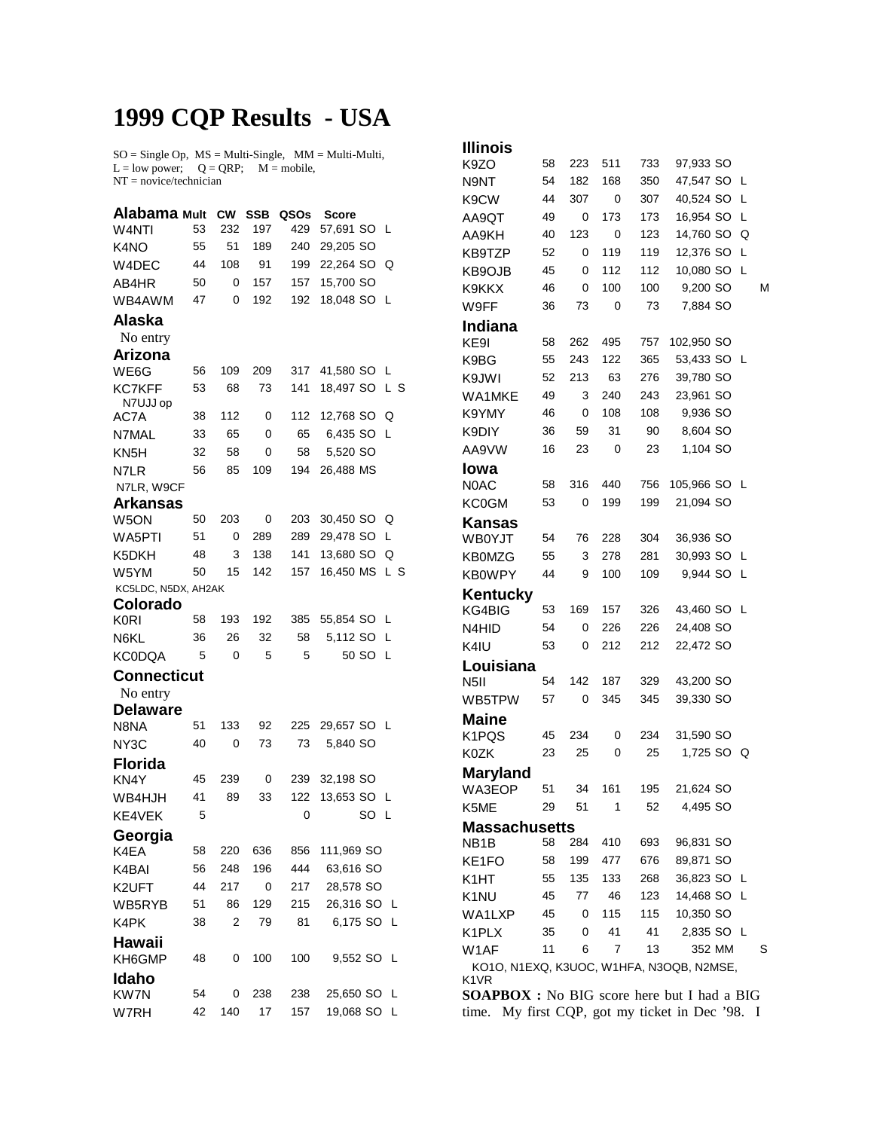## **1999 CQP Results - USA**

 $SO = Single Op$ ,  $MS = Multi-Single$ ,  $MM = Multi-Multi$ ,  $L = low power$ ;  $Q = QRP$ ;  $M = mobile$ , NT = novice/technician

| Alabama Mult                  |    | <b>CW</b> | <b>SSB</b> | QSOs | Score         |     |
|-------------------------------|----|-----------|------------|------|---------------|-----|
| W4NTI                         | 53 | 232       | 197        | 429  | 57,691 SO L   |     |
| K <sub>4</sub> NO             | 55 | 51        | 189        | 240  | 29,205 SO     |     |
| W4DEC                         | 44 | 108       | 91         | 199  | 22,264 SO     | Q   |
| AB4HR                         | 50 | 0         | 157        | 157  | 15,700 SO     |     |
| WB4AWM                        | 47 | 0         | 192        | 192  | 18,048 SO L   |     |
| Alaska                        |    |           |            |      |               |     |
| No entry                      |    |           |            |      |               |     |
| Arizona                       |    |           |            |      |               |     |
| WE6G                          | 56 | 109       | 209        | 317  | 41,580 SO L   |     |
| <b>KC7KFF</b>                 | 53 | 68        | 73         | 141  | 18,497 SO L S |     |
| N7UJJ op                      |    |           |            |      |               |     |
| AC7A                          | 38 | 112       | 0          | 112  | 12,768 SO     | Q   |
| N7MAL                         | 33 | 65        | 0          | 65   | 6,435 SO      | -L  |
| KN <sub>5</sub> H             | 32 | 58        | 0          | 58   | 5,520 SO      |     |
| N7LR                          | 56 | 85        | 109        | 194  | 26,488 MS     |     |
| N7LR, W9CF<br><b>Arkansas</b> |    |           |            |      |               |     |
| W5ON                          | 50 | 203       | 0          | 203  | 30,450 SO Q   |     |
| WA5PTI                        | 51 | 0         | 289        | 289  | 29,478 SO     | L   |
| K5DKH                         | 48 | 3         | 138        | 141  | 13,680 SO     | Q   |
| W5YM                          | 50 | 15        | 142        | 157  | 16,450 MS     | L S |
| KC5LDC, N5DX, AH2AK           |    |           |            |      |               |     |
| Colorado                      |    |           |            |      |               |     |
| <b>K0RI</b>                   | 58 | 193       | 192        | 385  | 55,854 SO L   |     |
| N6KL                          | 36 | 26        | 32         | 58   | 5,112 SO      | L   |
| <b>KC0DQA</b>                 | 5  | 0         | 5          | 5    | 50 SO         | - L |
| <b>Connecticut</b>            |    |           |            |      |               |     |
| No entry                      |    |           |            |      |               |     |
| <b>Delaware</b>               |    |           |            |      |               |     |
| N8NA                          | 51 | 133       | 92         | 225  | 29,657 SO L   |     |
| NY3C                          | 40 | 0         | 73         | 73   | 5,840 SO      |     |
| <b>Florida</b>                |    |           |            |      |               |     |
| KN4Y                          | 45 | 239       | 0          | 239  | 32,198 SO     |     |
| WB4HJH                        | 41 | 89        | 33         | 122  | 13,653 SO     | - L |
| KE4VEK                        | 5  |           |            | 0    | SO            | - L |
| Georgia                       |    |           |            |      |               |     |
| K4EA                          | 58 | 220       | 636        | 856  | 111,969 SO    |     |
| K4BAI                         | 56 | 248       | 196        | 444  | 63,616 SO     |     |
| K2UFT                         | 44 | 217       | 0          | 217  | 28,578 SO     |     |
| WB5RYB                        | 51 | 86        | 129        | 215  | 26,316 SO     | L   |
| K4PK                          | 38 | 2         | 79         | 81   | 6,175 SO      | -L  |
| Hawaii                        |    |           |            |      |               |     |
| KH6GMP                        | 48 | 0         | 100        | 100  | 9,552 SO      | -L  |
| <b>Idaho</b>                  |    |           |            |      |               |     |
| KW7N                          | 54 | 0         | 238        | 238  | 25,650 SO     | L   |
| W7RH                          | 42 | 140       | 17         | 157  | 19,068 SO     | L   |

| Illinois                                           |    |     |            |     |                                          |   |   |
|----------------------------------------------------|----|-----|------------|-----|------------------------------------------|---|---|
| K9ZO                                               | 58 | 223 | 511        | 733 | 97,933 SO                                |   |   |
| N9NT                                               | 54 | 182 | 168        | 350 | 47,547 SO                                | L |   |
| K9CW                                               | 44 | 307 | 0          | 307 | 40,524 SO                                | L |   |
| AA9QT                                              | 49 | 0   | 173        | 173 | 16,954 SO                                | L |   |
| AA9KH                                              | 40 | 123 | 0          | 123 | 14,760 SO                                | Q |   |
| KB9TZP                                             | 52 | 0   | 119        | 119 | 12,376 SO                                | L |   |
| KB9OJB                                             | 45 | 0   | 112        | 112 | 10,080 SO                                | L |   |
| K9KKX                                              | 46 | 0   | 100        | 100 | 9,200 SO                                 |   | М |
| W9FF                                               | 36 | 73  | 0          | 73  | 7,884 SO                                 |   |   |
| Indiana                                            |    |     |            |     |                                          |   |   |
| KE9I                                               | 58 | 262 | 495        | 757 | 102,950 SO                               |   |   |
| K9BG                                               | 55 | 243 | 122        | 365 | 53,433 SO L                              |   |   |
| K9JWI                                              | 52 | 213 | 63         | 276 | 39,780 SO                                |   |   |
| WA1MKE                                             | 49 | 3   | 240        | 243 | 23,961 SO                                |   |   |
| K9YMY                                              | 46 | 0   | 108        | 108 | 9,936 SO                                 |   |   |
| K9DIY                                              | 36 | 59  | 31         | 90  | 8,604 SO                                 |   |   |
| AA9VW                                              | 16 | 23  | 0          | 23  | 1,104 SO                                 |   |   |
| Iowa                                               |    |     |            |     |                                          |   |   |
| N0AC                                               | 58 | 316 | 440        | 756 | 105,966 SO                               | L |   |
| <b>KC0GM</b>                                       | 53 | 0   | 199        | 199 | 21,094 SO                                |   |   |
| <b>Kansas</b>                                      |    |     |            |     |                                          |   |   |
| <b>WB0YJT</b>                                      | 54 | 76  | 228        | 304 | 36,936 SO                                |   |   |
| <b>KB0MZG</b>                                      | 55 | 3   | 278        | 281 | 30,993 SO                                | L |   |
| <b>KB0WPY</b>                                      | 44 | 9   | 100        | 109 | 9,944 SO                                 | L |   |
| Kentucky                                           |    |     |            |     |                                          |   |   |
| KG4BIG                                             | 53 | 169 | 157        | 326 | 43,460 SO L                              |   |   |
| N4HID                                              | 54 | 0   | 226        | 226 | 24,408 SO                                |   |   |
| K4IU                                               | 53 | 0   | 212        | 212 | 22,472 SO                                |   |   |
| Louisiana                                          |    |     |            |     |                                          |   |   |
| N <sub>5</sub> II                                  | 54 | 142 | 187        | 329 | 43,200 SO                                |   |   |
| WB5TPW                                             | 57 | 0   | 345        | 345 | 39,330 SO                                |   |   |
| <b>Maine</b>                                       |    |     |            |     |                                          |   |   |
| K1PQS                                              | 45 | 234 | 0          | 234 | 31,590 SO                                |   |   |
| <b>K0ZK</b>                                        | 23 | 25  | 0          | 25  | 1,725 SO                                 | Q |   |
|                                                    |    |     |            |     |                                          |   |   |
| <b>Maryland</b><br>WA3EOP                          | 51 | 34  | 161        | 195 | 21,624 SO                                |   |   |
| K5ME                                               | 29 | 51  | 1          | 52  | 4,495 SO                                 |   |   |
|                                                    |    |     |            |     |                                          |   |   |
| <b>Massachusetts</b><br>NB1B                       | 58 | 284 | 410        | 693 | 96,831 SO                                |   |   |
|                                                    |    |     |            |     | 89,871 SO                                |   |   |
| KE1FO                                              | 58 | 199 | 477        | 676 |                                          |   |   |
| K1HT                                               |    |     | 55 135 133 | 268 | 36,823 SO L                              |   |   |
| K1NU                                               | 45 | 77  | 46         | 123 | 14,468 SO L                              |   |   |
| WA1LXP                                             | 45 | 0   | 115        | 115 | 10,350 SO                                |   |   |
| K1PLX                                              | 35 | 0   | 41         | 41  | 2,835 SO L                               |   |   |
| W <sub>1</sub> AF                                  | 11 | 6   | 7          | 13  | 352 MM                                   |   | S |
| K1VR                                               |    |     |            |     | KO1O, N1EXQ, K3UOC, W1HFA, N3OQB, N2MSE, |   |   |
| <b>SOAPBOX</b> : No BIG score here but I had a BIG |    |     |            |     |                                          |   |   |
| time. My first CQP, got my ticket in Dec '98. I    |    |     |            |     |                                          |   |   |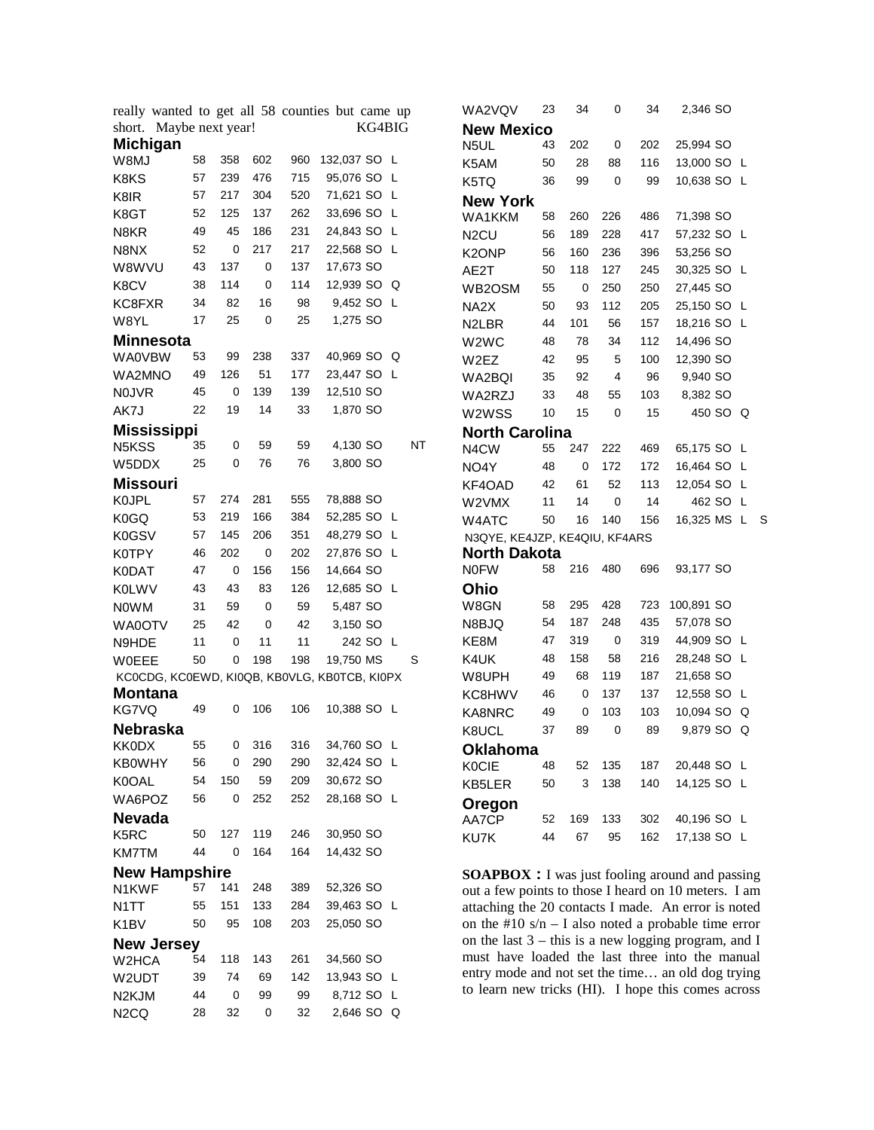|                         |                                   |             |                  |                   | really wanted to get all 58 counties but came up |   |           | WA2VQV                                                                                                  | 23 | 34  | $\mathbf 0$    | 34         | 2,346 SO      |          |  |
|-------------------------|-----------------------------------|-------------|------------------|-------------------|--------------------------------------------------|---|-----------|---------------------------------------------------------------------------------------------------------|----|-----|----------------|------------|---------------|----------|--|
|                         | short. Maybe next year!<br>KG4BIG |             |                  | <b>New Mexico</b> |                                                  |   |           |                                                                                                         |    |     |                |            |               |          |  |
| <b>Michigan</b>         |                                   |             |                  |                   |                                                  |   |           | N5UL                                                                                                    | 43 | 202 | 0              | 202        | 25,994 SO     |          |  |
| W8MJ                    | 58                                | 358         | 602              | 960               | 132,037 SO L                                     |   |           | K5AM                                                                                                    | 50 | 28  | 88             | 116        | 13,000 SO L   |          |  |
| K8KS                    | 57                                | 239         | 476              | 715               | 95,076 SO L                                      |   |           | K5TQ                                                                                                    | 36 | 99  | $\mathbf 0$    | 99         | 10,638 SO L   |          |  |
| K8IR                    | 57                                | 217         | 304              | 520               | 71,621 SO L                                      |   |           | <b>New York</b>                                                                                         |    |     |                |            |               |          |  |
| K8GT                    | 52                                | 125         | 137              | 262               | 33,696 SO L                                      |   |           | WA1KKM                                                                                                  | 58 | 260 | 226            | 486        | 71,398 SO     |          |  |
| N8KR                    | 49                                | 45          | 186              | 231               | 24,843 SO L                                      |   |           | N <sub>2</sub> CU                                                                                       | 56 | 189 | 228            | 417        | 57,232 SO L   |          |  |
| N8NX                    | 52                                | 0           | 217              | 217               | 22,568 SO L                                      |   |           | K2ONP                                                                                                   | 56 | 160 | 236            | 396        | 53,256 SO     |          |  |
| W8WVU                   | 43                                | 137         | 0                | 137               | 17,673 SO                                        |   |           | AE2T                                                                                                    | 50 | 118 | 127            | 245        | 30,325 SO L   |          |  |
| K8CV                    | 38                                | 114         | 0                | 114               | 12,939 SO Q                                      |   |           | WB2OSM                                                                                                  | 55 | 0   | 250            | 250        | 27,445 SO     |          |  |
| KC8FXR                  | 34                                | 82          | 16               | 98                | 9,452 SO L                                       |   |           | NA2X                                                                                                    | 50 | 93  | 112            | 205        | 25,150 SO L   |          |  |
| W8YL                    | 17                                | 25          | $\mathbf 0$      | 25                | 1,275 SO                                         |   |           | N <sub>2</sub> LBR                                                                                      | 44 | 101 | 56             | 157        | 18,216 SO L   |          |  |
| <b>Minnesota</b>        |                                   |             |                  |                   |                                                  |   |           | W2WC                                                                                                    | 48 | 78  | 34             | 112        | 14,496 SO     |          |  |
| <b>WA0VBW</b>           | 53                                | 99          | 238              | 337               | 40,969 SO Q                                      |   |           | W2EZ                                                                                                    | 42 | 95  | 5              | 100        | 12,390 SO     |          |  |
| WA2MNO                  | 49                                | 126         | 51               | 177               | 23,447 SO L                                      |   |           | WA2BQI                                                                                                  | 35 | 92  | $\overline{4}$ | 96         | 9,940 SO      |          |  |
| <b>NOJVR</b>            | 45                                | 0           | 139              | 139               | 12,510 SO                                        |   |           | WA2RZJ                                                                                                  | 33 | 48  | 55             | 103        | 8,382 SO      |          |  |
| AK7J                    | 22                                | 19          | 14               | 33                | 1,870 SO                                         |   |           | W2WSS                                                                                                   | 10 | 15  | $\mathbf 0$    | 15         |               | 450 SO Q |  |
| <b>Mississippi</b>      |                                   |             |                  |                   |                                                  |   |           |                                                                                                         |    |     |                |            |               |          |  |
| N5KSS                   | 35                                | 0           | 59               | 59                | 4,130 SO                                         |   | <b>NT</b> | <b>North Carolina</b>                                                                                   |    |     |                |            |               |          |  |
| W5DDX                   | 25                                | 0           | 76               | 76                | 3,800 SO                                         |   |           | N4CW                                                                                                    | 55 | 247 | 222<br>172     | 469<br>172 | 65,175 SO L   |          |  |
| <b>Missouri</b>         |                                   |             |                  |                   |                                                  |   |           | NO4Y                                                                                                    | 48 | 0   |                |            | 16,464 SO L   |          |  |
| K0JPL                   | 57                                | 274         | 281              | 555               | 78,888 SO                                        |   |           | KF4OAD                                                                                                  | 42 | 61  | 52             | 113        | 12,054 SO L   |          |  |
| K0GQ                    | 53                                | 219         | 166              | 384               | 52,285 SO L                                      |   |           | W2VMX                                                                                                   | 11 | 14  | $\mathbf 0$    | 14         |               | 462 SO L |  |
| K0GSV                   | 57                                | 145         | 206              | 351               | 48,279 SO L                                      |   |           | W4ATC                                                                                                   | 50 | 16  | 140            | 156        | 16,325 MS L S |          |  |
|                         | 46                                | 202         | $\mathbf 0$      | 202               | 27,876 SO L                                      |   |           | N3QYE, KE4JZP, KE4QIU, KF4ARS<br><b>North Dakota</b>                                                    |    |     |                |            |               |          |  |
| K0TPY                   | 47                                | 0           | 156              | 156               | 14,664 SO                                        |   |           | <b>NOFW</b>                                                                                             | 58 | 216 | 480            | 696        | 93,177 SO     |          |  |
| <b>K0DAT</b>            |                                   | 43          |                  |                   |                                                  |   |           |                                                                                                         |    |     |                |            |               |          |  |
| <b>K0LWV</b>            | 43                                |             | 83               | 126               | 12,685 SO L                                      |   |           | Ohio                                                                                                    | 58 | 295 | 428            | 723        | 100,891 SO    |          |  |
| <b>NOWM</b>             | 31                                | 59          | $\mathbf 0$      | 59                | 5,487 SO                                         |   |           | W8GN                                                                                                    | 54 | 187 | 248            | 435        | 57,078 SO     |          |  |
| WA0OTV                  | 25                                | 42          | 0                | 42                | 3,150 SO                                         |   |           | N8BJQ                                                                                                   | 47 | 319 | $\mathbf 0$    | 319        | 44,909 SO L   |          |  |
| N9HDE                   | 11                                | $\mathbf 0$ | 11               | 11                | 242 SO L                                         |   |           | KE8M                                                                                                    | 48 | 158 | 58             | 216        | 28,248 SO L   |          |  |
| <b>WOEEE</b>            | 50                                | 0           | 198              | 198               | 19,750 MS                                        | S |           | K4UK                                                                                                    |    |     |                | 187        |               |          |  |
|                         |                                   |             |                  |                   | KCOCDG, KCOEWD, KIOQB, KBOVLG, KBOTCB, KIOPX     |   |           | W8UPH                                                                                                   | 49 | 68  | 119            |            | 21,658 SO     |          |  |
| <b>Montana</b><br>KG7VQ | 49                                | 0           | 106              | 106               | 10,388 SO L                                      |   |           | KC8HWV                                                                                                  | 46 | 0   | 137            | 137        | 12,558 SO L   |          |  |
|                         |                                   |             |                  |                   |                                                  |   |           | KA8NRC                                                                                                  | 49 | 0   | 103            | 103        | 10,094 SO Q   |          |  |
| <b>Nebraska</b>         |                                   |             | 316              | 316               | 34,760 SO L                                      |   |           | K8UCL                                                                                                   | 37 | 89  | $\mathbf 0$    | 89         | 9,879 SO Q    |          |  |
| <b>KK0DX</b>            | 55<br>56                          | 0<br>0      | 290              | 290               | 32,424 SO L                                      |   |           | <b>Oklahoma</b>                                                                                         |    |     |                |            |               |          |  |
| <b>KB0WHY</b>           | 54                                | 150         | 59               | 209               | 30,672 SO                                        |   |           | <b>K0CIE</b>                                                                                            | 48 | 52  | 135            | 187        | 20,448 SO L   |          |  |
| K0OAL                   |                                   |             |                  |                   |                                                  |   |           | KB5LER                                                                                                  | 50 | 3   | 138            | 140        | 14,125 SO L   |          |  |
| WA6POZ                  | 56                                | 0           | 252              | 252               | 28,168 SO L                                      |   |           | Oregon                                                                                                  |    |     |                |            |               |          |  |
| <b>Nevada</b>           |                                   |             |                  |                   |                                                  |   |           | AA7CP                                                                                                   | 52 | 169 | 133            | 302        | 40,196 SO L   |          |  |
| K5RC                    | 50                                | 127         | 119              | 246               | 30,950 SO                                        |   |           | KU7K                                                                                                    | 44 | 67  | 95             | 162        | 17,138 SO L   |          |  |
| KM7TM                   | 44                                | 0           | 164              | 164               | 14,432 SO                                        |   |           |                                                                                                         |    |     |                |            |               |          |  |
| <b>New Hampshire</b>    |                                   |             |                  |                   |                                                  |   |           | <b>SOAPBOX</b> : I was just fooling around and passing                                                  |    |     |                |            |               |          |  |
| N1KWF                   | 57                                | 141         | 248              | 389               | 52,326 SO                                        |   |           | out a few points to those I heard on 10 meters. I am                                                    |    |     |                |            |               |          |  |
| N1TT                    | 55                                | 151         | 133              | 284               | 39,463 SO L                                      |   |           | attaching the 20 contacts I made. An error is noted                                                     |    |     |                |            |               |          |  |
| K <sub>1</sub> BV       | 50                                | 95          | 108              | 203               | 25,050 SO                                        |   |           | on the #10 $s/n - I$ also noted a probable time error                                                   |    |     |                |            |               |          |  |
| <b>New Jersey</b>       |                                   |             |                  |                   |                                                  |   |           | on the last $3$ – this is a new logging program, and I                                                  |    |     |                |            |               |          |  |
| W2HCA                   | 54                                | 118         | 143              | 261               | 34,560 SO                                        |   |           | must have loaded the last three into the manual                                                         |    |     |                |            |               |          |  |
| W2UDT                   | 39                                | 74          | 69               | 142               | 13,943 SO L                                      |   |           | entry mode and not set the time an old dog trying<br>to learn new tricks (HI). I hope this comes across |    |     |                |            |               |          |  |
| N2KJM                   | 44                                | 0           | 99               | 99                | 8,712 SO L                                       |   |           |                                                                                                         |    |     |                |            |               |          |  |
| N <sub>2</sub> CQ       | 28                                | 32          | $\boldsymbol{0}$ | 32                | 2,646 SO Q                                       |   |           |                                                                                                         |    |     |                |            |               |          |  |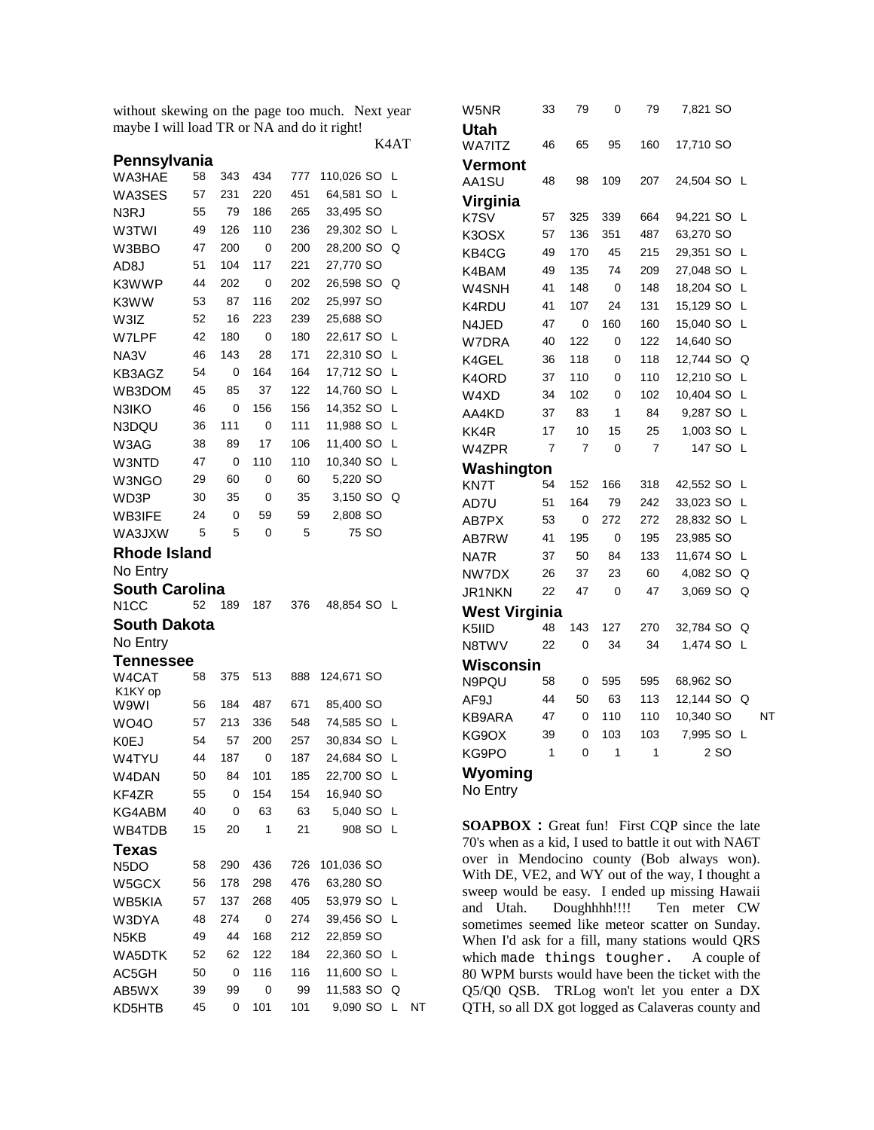without skewing on the page too much. Next year maybe I will load TR or NA and do it right!

K4AT

| Pennsylvania          |    |     |     |     |            |   |  |
|-----------------------|----|-----|-----|-----|------------|---|--|
| WA3HAE                | 58 | 343 | 434 | 777 | 110,026 SO | L |  |
| WA3SES                | 57 | 231 | 220 | 451 | 64,581 SO  | L |  |
| N3RJ                  | 55 | 79  | 186 | 265 | 33,495 SO  |   |  |
| W3TWI                 | 49 | 126 | 110 | 236 | 29,302 SO  | L |  |
| W3BBO                 | 47 | 200 | 0   | 200 | 28,200 SO  | Q |  |
| AD <sub>8</sub> J     | 51 | 104 | 117 | 221 | 27,770 SO  |   |  |
| K3WWP                 | 44 | 202 | 0   | 202 | 26,598 SO  | Q |  |
| K3WW                  | 53 | 87  | 116 | 202 | 25,997 SO  |   |  |
| W3IZ                  | 52 | 16  | 223 | 239 | 25,688 SO  |   |  |
| W7LPF                 | 42 | 180 | 0   | 180 | 22,617 SO  | L |  |
| NA3V                  | 46 | 143 | 28  | 171 | 22,310 SO  | L |  |
| KB3AGZ                | 54 | 0   | 164 | 164 | 17,712 SO  | L |  |
| WB3DOM                | 45 | 85  | 37  | 122 | 14,760 SO  | L |  |
| N3IKO                 | 46 | 0   | 156 | 156 | 14,352 SO  | L |  |
| N3DQU                 | 36 | 111 | 0   | 111 | 11,988 SO  | L |  |
| W3AG                  | 38 | 89  | 17  | 106 | 11,400 SO  | L |  |
| W3NTD                 | 47 | 0   | 110 | 110 | 10,340 SO  | L |  |
| W3NGO                 | 29 | 60  | 0   | 60  | 5,220 SO   |   |  |
| WD3P                  | 30 | 35  | 0   | 35  | 3,150 SO   | Q |  |
| WB3IFE                | 24 | 0   | 59  | 59  | 2,808 SO   |   |  |
| WA3JXW                | 5  | 5   | 0   | 5   | 75 SO      |   |  |
| <b>Rhode Island</b>   |    |     |     |     |            |   |  |
| No Entry              |    |     |     |     |            |   |  |
| <b>South Carolina</b> |    |     |     |     |            |   |  |
| N <sub>1</sub> CC     | 52 | 189 | 187 | 376 | 48,854 SO  | └ |  |
| South Dakota          |    |     |     |     |            |   |  |
| No Entry              |    |     |     |     |            |   |  |
| Tennessee             |    |     |     |     |            |   |  |
| W4CAT                 | 58 | 375 | 513 | 888 | 124,671 SO |   |  |
| K1KY op<br>W9WI       | 56 | 184 | 487 | 671 | 85,400 SO  |   |  |
| <b>WO40</b>           | 57 | 213 | 336 | 548 | 74,585 SO  | L |  |
| K0EJ                  | 54 | 57  | 200 | 257 | 30,834 SO  | L |  |
| W4TYU                 | 44 | 187 | 0   | 187 | 24,684 SO  | L |  |
| W4DAN                 | 50 | 84  | 101 | 185 | 22,700 SO  | L |  |
| KF4ZR                 | 55 | 0   | 154 | 154 | 16,940 SO  |   |  |
| KG4ABM                | 40 | 0   | 63  | 63  | 5,040 SO   | L |  |
| WB4TDB                | 15 | 20  | 1   | 21  | 908 SO     | L |  |
| Texas                 |    |     |     |     |            |   |  |
| N <sub>5</sub> DO     | 58 | 290 | 436 | 726 | 101,036 SO |   |  |
| W5GCX                 | 56 | 178 | 298 | 476 | 63,280 SO  |   |  |
| WB5KIA                | 57 | 137 | 268 | 405 | 53,979 SO  | L |  |
| W3DYA                 | 48 | 274 | 0   | 274 | 39,456 SO  | L |  |
| N5KB                  | 49 | 44  | 168 | 212 | 22,859 SO  |   |  |
| WA5DTK                | 52 | 62  | 122 | 184 | 22,360 SO  | L |  |
| AC5GH                 | 50 | 0   | 116 | 116 | 11,600 SO  | Г |  |
|                       |    |     |     |     |            |   |  |
| AB5WX                 | 39 | 99  | 0   | 99  | 11,583 SO  | Q |  |

| W5NR                 | 33 | 79  | 0   | 79             | 7,821 SO  |    |    |
|----------------------|----|-----|-----|----------------|-----------|----|----|
| <b>Utah</b>          |    |     |     |                |           |    |    |
| <b>WA7ITZ</b>        | 46 | 65  | 95  | 160            | 17,710 SO |    |    |
| Vermont              |    |     |     |                |           |    |    |
| AA1SU                | 48 | 98  | 109 | 207            | 24,504 SO | -L |    |
| <b>Virginia</b>      |    |     |     |                |           |    |    |
| K7SV                 | 57 | 325 | 339 | 664            | 94,221 SO | L  |    |
| K3OSX                | 57 | 136 | 351 | 487            | 63,270 SO |    |    |
| KB4CG                | 49 | 170 | 45  | 215            | 29,351 SO | L  |    |
| K4BAM                | 49 | 135 | 74  | 209            | 27,048 SO | L  |    |
| W4SNH                | 41 | 148 | 0   | 148            | 18,204 SO | L  |    |
| K4RDU                | 41 | 107 | 24  | 131            | 15,129 SO | L  |    |
| N4JED                | 47 | 0   | 160 | 160            | 15,040 SO | L  |    |
| W7DRA                | 40 | 122 | 0   | 122            | 14,640 SO |    |    |
| K4GEL                | 36 | 118 | 0   | 118            | 12,744 SO | Q  |    |
| K4ORD                | 37 | 110 | 0   | 110            | 12,210 SO | L  |    |
| W4XD                 | 34 | 102 | 0   | 102            | 10,404 SO | L  |    |
| AA4KD                | 37 | 83  | 1   | 84             | 9,287 SO  | L  |    |
| KK4R                 | 17 | 10  | 15  | 25             | 1,003 SO  | L  |    |
| W4ZPR                | 7  | 7   | 0   | $\overline{7}$ | 147 SO    | L  |    |
| Washington           |    |     |     |                |           |    |    |
| KN7T                 | 54 | 152 | 166 | 318            | 42,552 SO | L  |    |
| AD7U                 | 51 | 164 | 79  | 242            | 33,023 SO | L  |    |
| AB7PX                | 53 | 0   | 272 | 272            | 28,832 SO | L  |    |
| AB7RW                | 41 | 195 | 0   | 195            | 23,985 SO |    |    |
| NA7R                 | 37 | 50  | 84  | 133            | 11,674 SO | L  |    |
| NW7DX                | 26 | 37  | 23  | 60             | 4,082 SO  | Q  |    |
| JR1NKN               | 22 | 47  | 0   | 47             | 3,069 SO  | Q  |    |
| <b>West Virginia</b> |    |     |     |                |           |    |    |
| K5IID                | 48 | 143 | 127 | 270            | 32,784 SO | Q  |    |
| N8TWV                | 22 | 0   | 34  | 34             | 1,474 SO  | Г  |    |
| Wisconsin            |    |     |     |                |           |    |    |
| N9PQU                | 58 | 0   | 595 | 595            | 68,962 SO |    |    |
| AF9J                 | 44 | 50  | 63  | 113            | 12,144 SO | Q  |    |
| KB9ARA               | 47 | 0   | 110 | 110            | 10,340 SO |    | NT |
| KG9OX                | 39 | 0   | 103 | 103            | 7,995 SO  | L  |    |
| KG9PO                | 1  | 0   | 1   | 1              | 2 SO      |    |    |
| Wyoming              |    |     |     |                |           |    |    |
| No Entry             |    |     |     |                |           |    |    |

**SOAPBOX :** Great fun! First CQP since the late 70's when as a kid, I used to battle it out with NA6T over in Mendocino county (Bob always won). With DE, VE2, and WY out of the way, I thought a sweep would be easy. I ended up missing Hawaii and Utah. Doughhhh!!!! Ten meter CW sometimes seemed like meteor scatter on Sunday. When I'd ask for a fill, many stations would QRS which made things tougher. A couple of 80 WPM bursts would have been the ticket with the Q5/Q0 QSB. TRLog won't let you enter a DX QTH, so all DX got logged as Calaveras county and